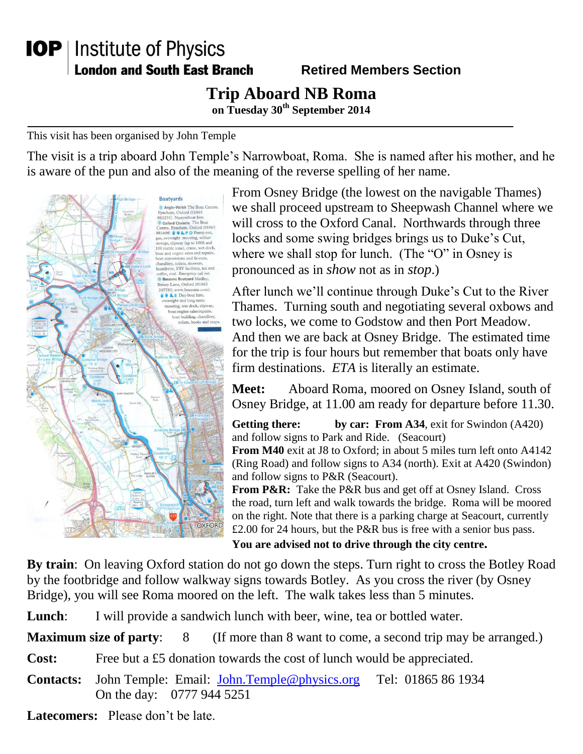## **IOP** | Institute of Physics **London and South East Branch**

## **Retired Members Section**

## **Trip Aboard NB Roma**

**on Tuesday 30th September 2014**

This visit has been organised by John Temple

The visit is a trip aboard John Temple's Narrowboat, Roma. She is named after his mother, and he is aware of the pun and also of the meaning of the reverse spelling of her name.



From Osney Bridge (the lowest on the navigable Thames) we shall proceed upstream to Sheepwash Channel where we will cross to the Oxford Canal. Northwards through three locks and some swing bridges brings us to Duke's Cut, where we shall stop for lunch. (The "O" in Osney is pronounced as in *show* not as in *stop*.)

After lunch we'll continue through Duke's Cut to the River Thames. Turning south and negotiating several oxbows and two locks, we come to Godstow and then Port Meadow. And then we are back at Osney Bridge. The estimated time for the trip is four hours but remember that boats only have firm destinations. *ETA* is literally an estimate.

**Meet:** Aboard Roma, moored on Osney Island, south of Osney Bridge, at 11.00 am ready for departure before 11.30.

**Getting there: by car: From A34**, exit for Swindon (A420) and follow signs to Park and Ride. (Seacourt)

**From M40** exit at J8 to Oxford; in about 5 miles turn left onto A4142 (Ring Road) and follow signs to A34 (north). Exit at A420 (Swindon) and follow signs to P&R (Seacourt).

From P&R: Take the P&R bus and get off at Osney Island. Cross the road, turn left and walk towards the bridge. Roma will be moored on the right. Note that there is a parking charge at Seacourt, currently £2.00 for 24 hours, but the P&R bus is free with a senior bus pass.

**You are advised not to drive through the city centre.**

**By train**: On leaving Oxford station do not go down the steps. Turn right to cross the Botley Road by the footbridge and follow walkway signs towards Botley. As you cross the river (by Osney Bridge), you will see Roma moored on the left. The walk takes less than 5 minutes.

**Lunch:** I will provide a sandwich lunch with beer, wine, tea or bottled water.

**Maximum size of party:** 8 (If more than 8 want to come, a second trip may be arranged.)

**Cost:** Free but a £5 donation towards the cost of lunch would be appreciated.

- **Contacts:** John Temple: Email: [John.Temple@physics.org](mailto:John.Temple@physics.org) Tel: 01865 86 1934 On the day: 0777 944 5251
- **Latecomers:** Please don't be late.